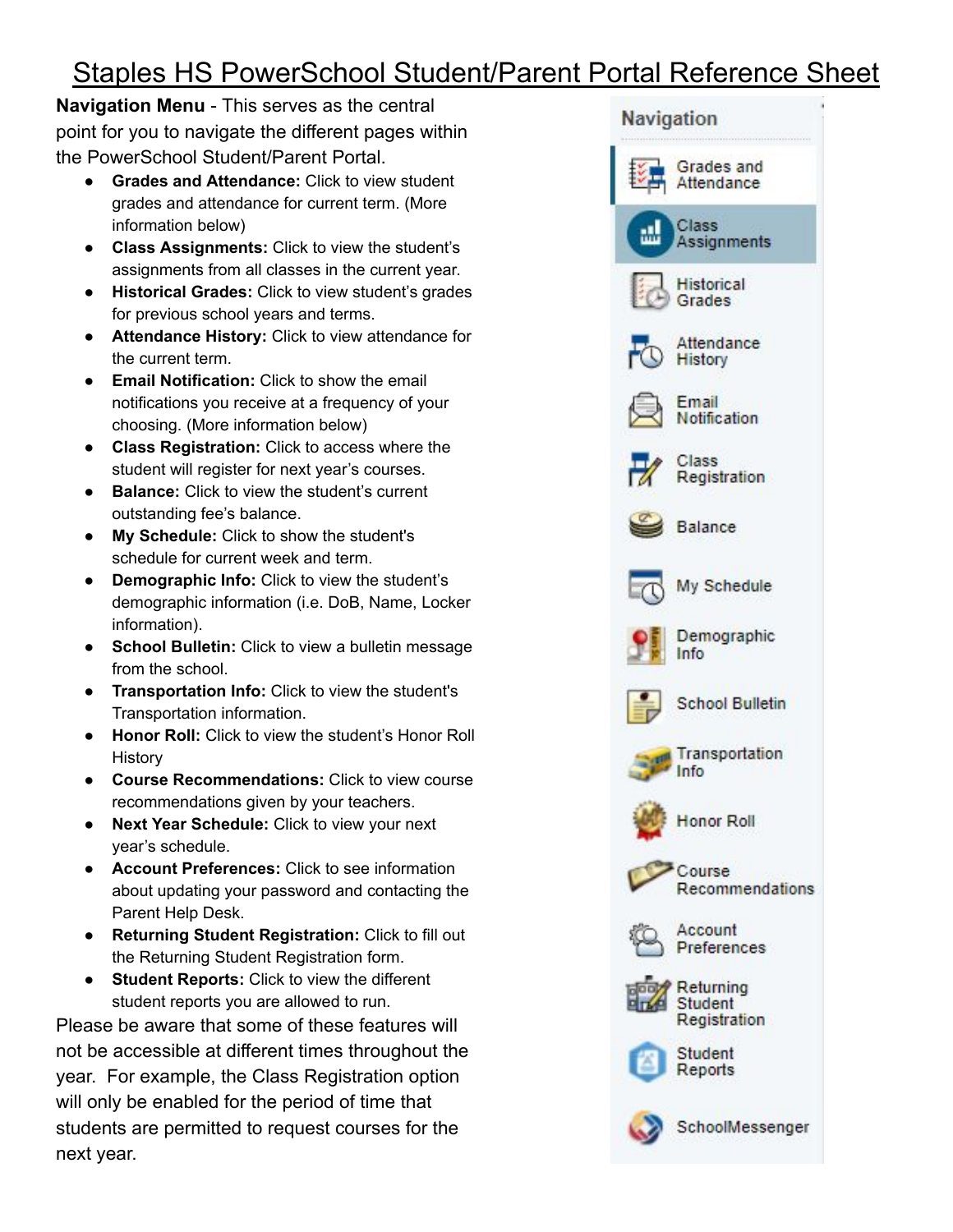## Staples HS PowerSchool Student/Parent Portal Reference Sheet

**Navigation Menu** - This serves as the central point for you to navigate the different pages within the PowerSchool Student/Parent Portal.

- **Grades and Attendance:** Click to view student grades and attendance for current term. (More information below)
- **Class Assignments:** Click to view the student's assignments from all classes in the current year.
- **Historical Grades:** Click to view student's grades for previous school years and terms.
- **Attendance History:** Click to view attendance for the current term.
- **Email Notification:** Click to show the email notifications you receive at a frequency of your choosing. (More information below)
- **● Class Registration:** Click to access where the student will register for next year's courses.
- **● Balance:** Click to view the student's current outstanding fee's balance.
- **My Schedule:** Click to show the student's schedule for current week and term.
- **● Demographic Info:** Click to view the student's demographic information (i.e. DoB, Name, Locker information).
- **● School Bulletin:** Click to view a bulletin message from the school.
- **Transportation Info:** Click to view the student's Transportation information.
- **● Honor Roll:** Click to view the student's Honor Roll **History**
- **● Course Recommendations:** Click to view course recommendations given by your teachers.
- **Next Year Schedule:** Click to view your next year's schedule.
- **Account Preferences:** Click to see information about updating your password and contacting the Parent Help Desk.
- **● Returning Student Registration:** Click to fill out the Returning Student Registration form.
- **● Student Reports:** Click to view the different student reports you are allowed to run.

Please be aware that some of these features will not be accessible at different times throughout the year. For example, the Class Registration option will only be enabled for the period of time that students are permitted to request courses for the next year.